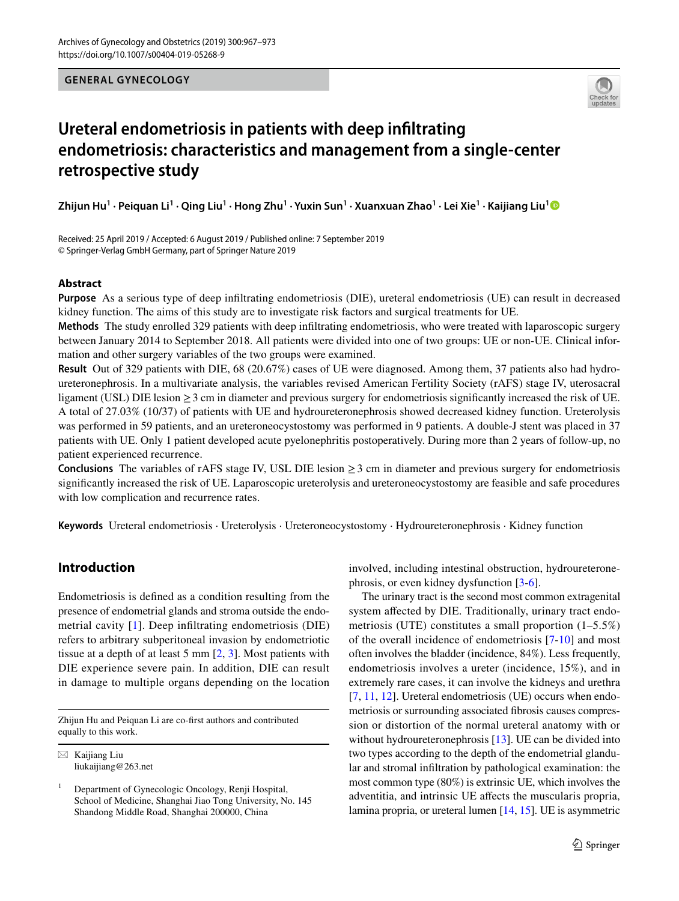#### **GENERAL GYNECOLOGY**



# **Ureteral endometriosis in patients with deep infltrating endometriosis: characteristics and management from a single‑center retrospective study**

 $\bf Z$ hijun Hu $^1$  $^1$  · Peiquan Li $^1$  · Qing Liu $^1$  · Hong Zhu $^1$  · Yuxin Sun $^1$  · Xuanxuan Zhao $^1$  · Lei Xie $^1$  · Kaijiang Liu $^1$ 

Received: 25 April 2019 / Accepted: 6 August 2019 / Published online: 7 September 2019 © Springer-Verlag GmbH Germany, part of Springer Nature 2019

#### **Abstract**

**Purpose** As a serious type of deep infltrating endometriosis (DIE), ureteral endometriosis (UE) can result in decreased kidney function. The aims of this study are to investigate risk factors and surgical treatments for UE.

**Methods** The study enrolled 329 patients with deep infltrating endometriosis, who were treated with laparoscopic surgery between January 2014 to September 2018. All patients were divided into one of two groups: UE or non-UE. Clinical information and other surgery variables of the two groups were examined.

**Result** Out of 329 patients with DIE, 68 (20.67%) cases of UE were diagnosed. Among them, 37 patients also had hydroureteronephrosis. In a multivariate analysis, the variables revised American Fertility Society (rAFS) stage IV, uterosacral ligament (USL) DIE lesion ≥3 cm in diameter and previous surgery for endometriosis signifcantly increased the risk of UE. A total of 27.03% (10/37) of patients with UE and hydroureteronephrosis showed decreased kidney function. Ureterolysis was performed in 59 patients, and an ureteroneocystostomy was performed in 9 patients. A double-J stent was placed in 37 patients with UE. Only 1 patient developed acute pyelonephritis postoperatively. During more than 2 years of follow-up, no patient experienced recurrence.

**Conclusions** The variables of rAFS stage IV, USL DIE lesion  $\geq 3$  cm in diameter and previous surgery for endometriosis signifcantly increased the risk of UE. Laparoscopic ureterolysis and ureteroneocystostomy are feasible and safe procedures with low complication and recurrence rates.

**Keywords** Ureteral endometriosis · Ureterolysis · Ureteroneocystostomy · Hydroureteronephrosis · Kidney function

# **Introduction**

Endometriosis is defned as a condition resulting from the presence of endometrial glands and stroma outside the endometrial cavity [[1](#page-5-0)]. Deep infltrating endometriosis (DIE) refers to arbitrary subperitoneal invasion by endometriotic tissue at a depth of at least 5 mm  $[2, 3]$  $[2, 3]$  $[2, 3]$  $[2, 3]$  $[2, 3]$ . Most patients with DIE experience severe pain. In addition, DIE can result in damage to multiple organs depending on the location

Zhijun Hu and Peiquan Li are co-frst authors and contributed equally to this work.

involved, including intestinal obstruction, hydroureteronephrosis, or even kidney dysfunction [\[3](#page-5-2)-[6\]](#page-5-3).

The urinary tract is the second most common extragenital system afected by DIE. Traditionally, urinary tract endometriosis (UTE) constitutes a small proportion (1–5.5%) of the overall incidence of endometriosis [[7](#page-6-0)[-10\]](#page-6-1) and most often involves the bladder (incidence, 84%). Less frequently, endometriosis involves a ureter (incidence, 15%), and in extremely rare cases, it can involve the kidneys and urethra [[7,](#page-6-0) [11](#page-6-2), [12](#page-6-3)]. Ureteral endometriosis (UE) occurs when endometriosis or surrounding associated fbrosis causes compression or distortion of the normal ureteral anatomy with or without hydroureteronephrosis [[13\]](#page-6-4). UE can be divided into two types according to the depth of the endometrial glandular and stromal infltration by pathological examination: the most common type (80%) is extrinsic UE, which involves the adventitia, and intrinsic UE afects the muscularis propria, lamina propria, or ureteral lumen [\[14](#page-6-5), [15\]](#page-6-6). UE is asymmetric

 $\boxtimes$  Kaijiang Liu liukaijiang@263.net

<sup>1</sup> Department of Gynecologic Oncology, Renji Hospital, School of Medicine, Shanghai Jiao Tong University, No. 145 Shandong Middle Road, Shanghai 200000, China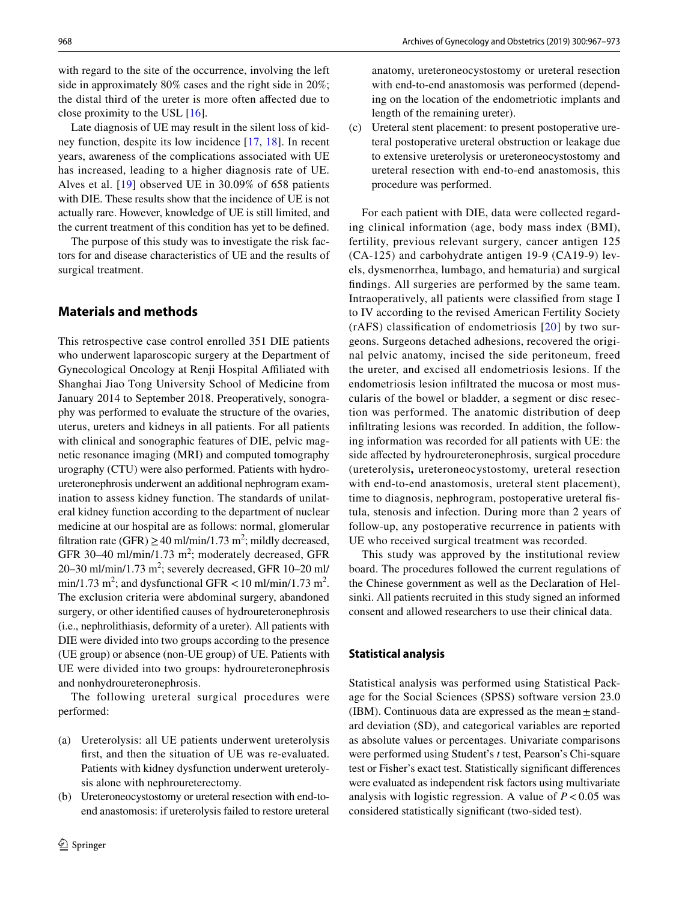with regard to the site of the occurrence, involving the left side in approximately 80% cases and the right side in 20%; the distal third of the ureter is more often afected due to close proximity to the USL [\[16](#page-6-7)].

Late diagnosis of UE may result in the silent loss of kidney function, despite its low incidence [\[17,](#page-6-8) [18\]](#page-6-9). In recent years, awareness of the complications associated with UE has increased, leading to a higher diagnosis rate of UE. Alves et al. [[19](#page-6-10)] observed UE in 30.09% of 658 patients with DIE. These results show that the incidence of UE is not actually rare. However, knowledge of UE is still limited, and the current treatment of this condition has yet to be defned.

The purpose of this study was to investigate the risk factors for and disease characteristics of UE and the results of surgical treatment.

## **Materials and methods**

This retrospective case control enrolled 351 DIE patients who underwent laparoscopic surgery at the Department of Gynecological Oncology at Renji Hospital Afliated with Shanghai Jiao Tong University School of Medicine from January 2014 to September 2018. Preoperatively, sonography was performed to evaluate the structure of the ovaries, uterus, ureters and kidneys in all patients. For all patients with clinical and sonographic features of DIE, pelvic magnetic resonance imaging (MRI) and computed tomography urography (CTU) were also performed. Patients with hydroureteronephrosis underwent an additional nephrogram examination to assess kidney function. The standards of unilateral kidney function according to the department of nuclear medicine at our hospital are as follows: normal, glomerular filtration rate (GFR)  $\geq$  40 ml/min/1.73 m<sup>2</sup>; mildly decreased, GFR 30-40 ml/min/1.73  $m^2$ ; moderately decreased, GFR 20–30 ml/min/1.73 m<sup>2</sup>; severely decreased, GFR 10–20 ml/ min/1.73 m<sup>2</sup>; and dysfunctional GFR  $<$  10 ml/min/1.73 m<sup>2</sup>. The exclusion criteria were abdominal surgery, abandoned surgery, or other identifed causes of hydroureteronephrosis (i.e., nephrolithiasis, deformity of a ureter). All patients with DIE were divided into two groups according to the presence (UE group) or absence (non-UE group) of UE. Patients with UE were divided into two groups: hydroureteronephrosis and nonhydroureteronephrosis.

The following ureteral surgical procedures were performed:

- (a) Ureterolysis: all UE patients underwent ureterolysis frst, and then the situation of UE was re-evaluated. Patients with kidney dysfunction underwent ureterolysis alone with nephroureterectomy.
- (b) Ureteroneocystostomy or ureteral resection with end-toend anastomosis: if ureterolysis failed to restore ureteral

anatomy, ureteroneocystostomy or ureteral resection with end-to-end anastomosis was performed (depending on the location of the endometriotic implants and length of the remaining ureter).

(c) Ureteral stent placement: to present postoperative ureteral postoperative ureteral obstruction or leakage due to extensive ureterolysis or ureteroneocystostomy and ureteral resection with end-to-end anastomosis, this procedure was performed.

For each patient with DIE, data were collected regarding clinical information (age, body mass index (BMI), fertility, previous relevant surgery, cancer antigen 125 (CA-125) and carbohydrate antigen 19-9 (CA19-9) levels, dysmenorrhea, lumbago, and hematuria) and surgical fndings. All surgeries are performed by the same team. Intraoperatively, all patients were classifed from stage I to IV according to the revised American Fertility Society (rAFS) classifcation of endometriosis [[20\]](#page-6-11) by two surgeons. Surgeons detached adhesions, recovered the original pelvic anatomy, incised the side peritoneum, freed the ureter, and excised all endometriosis lesions. If the endometriosis lesion infltrated the mucosa or most muscularis of the bowel or bladder, a segment or disc resection was performed. The anatomic distribution of deep infltrating lesions was recorded. In addition, the following information was recorded for all patients with UE: the side afected by hydroureteronephrosis, surgical procedure (ureterolysis**,** ureteroneocystostomy, ureteral resection with end-to-end anastomosis, ureteral stent placement), time to diagnosis, nephrogram, postoperative ureteral fstula, stenosis and infection. During more than 2 years of follow-up, any postoperative recurrence in patients with UE who received surgical treatment was recorded.

This study was approved by the institutional review board. The procedures followed the current regulations of the Chinese government as well as the Declaration of Helsinki. All patients recruited in this study signed an informed consent and allowed researchers to use their clinical data.

#### **Statistical analysis**

Statistical analysis was performed using Statistical Package for the Social Sciences (SPSS) software version 23.0 (IBM). Continuous data are expressed as the mean $\pm$ standard deviation (SD), and categorical variables are reported as absolute values or percentages. Univariate comparisons were performed using Student's *t* test, Pearson's Chi-square test or Fisher's exact test. Statistically signifcant diferences were evaluated as independent risk factors using multivariate analysis with logistic regression. A value of  $P < 0.05$  was considered statistically signifcant (two-sided test).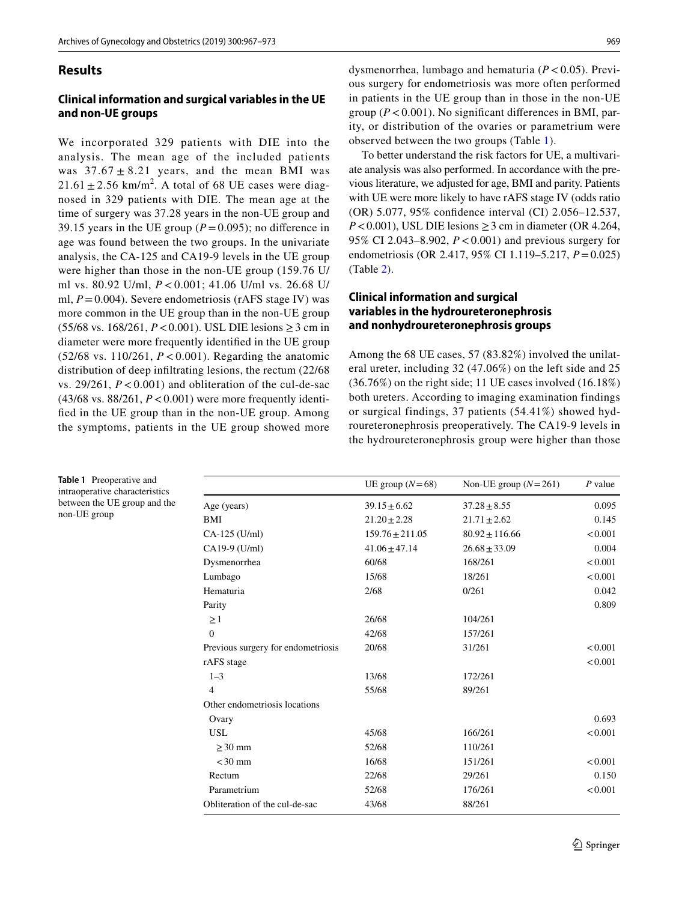### **Results**

## **Clinical information and surgical variables in the UE and non‑UE groups**

We incorporated 329 patients with DIE into the analysis. The mean age of the included patients was  $37.67 \pm 8.21$  years, and the mean BMI was  $21.61 \pm 2.56$  km/m<sup>2</sup>. A total of 68 UE cases were diagnosed in 329 patients with DIE. The mean age at the time of surgery was 37.28 years in the non-UE group and 39.15 years in the UE group ( $P=0.095$ ); no difference in age was found between the two groups. In the univariate analysis, the CA-125 and CA19-9 levels in the UE group were higher than those in the non-UE group (159.76 U/ ml vs. 80.92 U/ml, *P* < 0.001; 41.06 U/ml vs. 26.68 U/ ml,  $P = 0.004$ ). Severe endometriosis (rAFS stage IV) was more common in the UE group than in the non-UE group  $(55/68 \text{ vs. } 168/261, P < 0.001)$ . USL DIE lesions  $\geq 3$  cm in diameter were more frequently identifed in the UE group (52/68 vs. 110/261, *P* < 0.001). Regarding the anatomic distribution of deep infltrating lesions, the rectum (22/68 vs. 29/261, *P*< 0.001) and obliteration of the cul-de-sac (43/68 vs. 88/261, *P*<0.001) were more frequently identifed in the UE group than in the non-UE group. Among the symptoms, patients in the UE group showed more

dysmenorrhea, lumbago and hematuria (*P*<0.05). Previous surgery for endometriosis was more often performed in patients in the UE group than in those in the non-UE group ( $P < 0.001$ ). No significant differences in BMI, parity, or distribution of the ovaries or parametrium were observed between the two groups (Table [1](#page-2-0)).

To better understand the risk factors for UE, a multivariate analysis was also performed. In accordance with the previous literature, we adjusted for age, BMI and parity. Patients with UE were more likely to have rAFS stage IV (odds ratio (OR) 5.077, 95% confdence interval (CI) 2.056–12.537,  $P < 0.001$ ), USL DIE lesions  $\geq 3$  cm in diameter (OR 4.264, 95% CI 2.043–8.902, *P*<0.001) and previous surgery for endometriosis (OR 2.417, 95% CI 1.119–5.217, *P*=0.025) (Table [2\)](#page-3-0).

## **Clinical information and surgical variables in the hydroureteronephrosis and nonhydroureteronephrosis groups**

Among the 68 UE cases, 57 (83.82%) involved the unilateral ureter, including 32 (47.06%) on the left side and 25 (36.76%) on the right side; 11 UE cases involved (16.18%) both ureters. According to imaging examination findings or surgical findings, 37 patients (54.41%) showed hydroureteronephrosis preoperatively. The CA19-9 levels in the hydroureteronephrosis group were higher than those

|                                    | UE group $(N=68)$   | Non-UE group $(N=261)$ | $P$ value |
|------------------------------------|---------------------|------------------------|-----------|
| Age (years)                        | $39.15 \pm 6.62$    | $37.28 \pm 8.55$       | 0.095     |
| BMI                                | $21.20 \pm 2.28$    | $21.71 \pm 2.62$       | 0.145     |
| CA-125 (U/ml)                      | $159.76 \pm 211.05$ | $80.92 \pm 116.66$     | < 0.001   |
| CA19-9 (U/ml)                      | $41.06 \pm 47.14$   | $26.68 \pm 33.09$      | 0.004     |
| Dysmenorrhea                       | 60/68               | 168/261                | < 0.001   |
| Lumbago                            | 15/68               | 18/261                 | < 0.001   |
| Hematuria                          | 2/68                | 0/261                  | 0.042     |
| Parity                             |                     |                        | 0.809     |
| $\geq$ 1                           | 26/68               | 104/261                |           |
| $\Omega$                           | 42/68               | 157/261                |           |
| Previous surgery for endometriosis | 20/68               | 31/261                 | < 0.001   |
| rAFS stage                         |                     |                        | < 0.001   |
| $1 - 3$                            | 13/68               | 172/261                |           |
| $\overline{4}$                     | 55/68               | 89/261                 |           |
| Other endometriosis locations      |                     |                        |           |
| Ovary                              |                     |                        | 0.693     |
| <b>USL</b>                         | 45/68               | 166/261                | < 0.001   |
| $>30$ mm                           | 52/68               | 110/261                |           |
| $<$ 30 mm                          | 16/68               | 151/261                | < 0.001   |
| Rectum                             | 22/68               | 29/261                 | 0.150     |
| Parametrium                        | 52/68               | 176/261                | < 0.001   |
| Obliteration of the cul-de-sac     | 43/68               | 88/261                 |           |

<span id="page-2-0"></span>**Table 1** Preoperative and intraoperative characteristics between the UE group and the non-UE group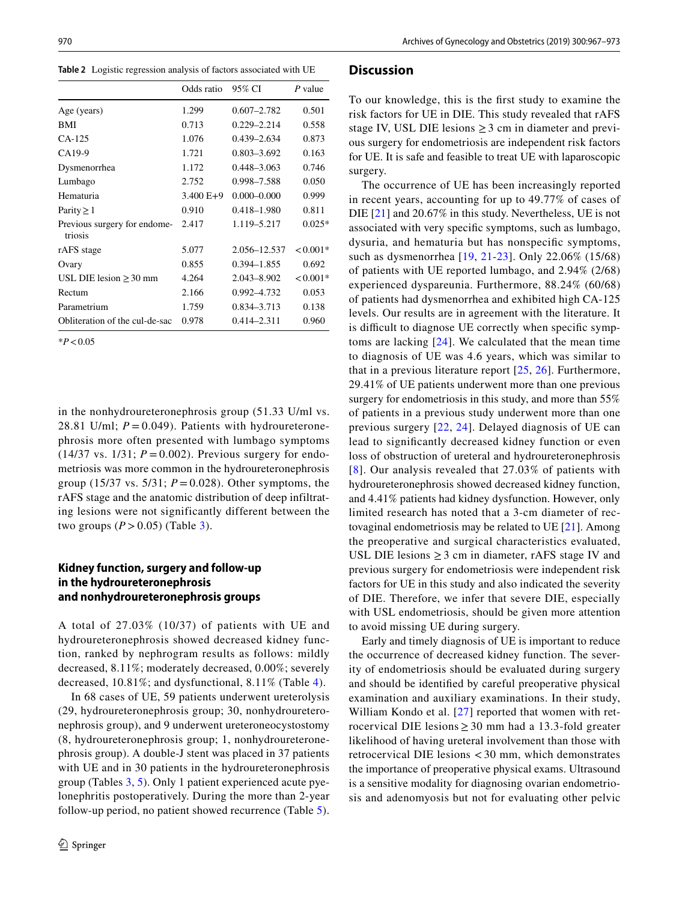<span id="page-3-0"></span>**Table 2** Logistic regression analysis of factors associated with UE

|                                         | Odds ratio  | 95% CI          | P value    |
|-----------------------------------------|-------------|-----------------|------------|
| Age (years)                             | 1.299       | $0.607 - 2.782$ | 0.501      |
| BMI                                     | 0.713       | $0.229 - 2.214$ | 0.558      |
| $CA-125$                                | 1.076       | $0.439 - 2.634$ | 0.873      |
| CA19-9                                  | 1.721       | $0.803 - 3.692$ | 0.163      |
| Dysmenorrhea                            | 1.172       | $0.448 - 3.063$ | 0.746      |
| Lumbago                                 | 2.752       | 0.998-7.588     | 0.050      |
| Hematuria                               | $3.400 E+9$ | $0.000 - 0.000$ | 0.999      |
| Parity $\geq 1$                         | 0.910       | 0.418-1.980     | 0.811      |
| Previous surgery for endome-<br>triosis | 2.417       | 1.119–5.217     | $0.025*$   |
| rAFS stage                              | 5.077       | 2.056-12.537    | $< 0.001*$ |
| Ovary                                   | 0.855       | $0.394 - 1.855$ | 0.692      |
| USL DIE lesion $\geq$ 30 mm             | 4.264       | 2.043-8.902     | $< 0.001*$ |
| Rectum                                  | 2.166       | 0.992-4.732     | 0.053      |
| Parametrium                             | 1.759       | 0.834-3.713     | 0.138      |
| Obliteration of the cul-de-sac          | 0.978       | $0.414 - 2.311$ | 0.960      |

\**P*<0.05

in the nonhydroureteronephrosis group (51.33 U/ml vs. 28.81 U/ml;  $P = 0.049$ ). Patients with hydroureteronephrosis more often presented with lumbago symptoms  $(14/37 \text{ vs. } 1/31; P = 0.002)$ . Previous surgery for endometriosis was more common in the hydroureteronephrosis group (15/37 vs. 5/31; *P* = 0.028). Other symptoms, the rAFS stage and the anatomic distribution of deep infiltrating lesions were not significantly different between the two groups  $(P > 0.05)$  (Table [3](#page-4-0)).

## **Kidney function, surgery and follow‑up in the hydroureteronephrosis and nonhydroureteronephrosis groups**

A total of 27.03% (10/37) of patients with UE and hydroureteronephrosis showed decreased kidney function, ranked by nephrogram results as follows: mildly decreased, 8.11%; moderately decreased, 0.00%; severely decreased, 10.81%; and dysfunctional, 8.11% (Table [4\)](#page-4-1).

In 68 cases of UE, 59 patients underwent ureterolysis (29, hydroureteronephrosis group; 30, nonhydroureteronephrosis group), and 9 underwent ureteroneocystostomy (8, hydroureteronephrosis group; 1, nonhydroureteronephrosis group). A double-J stent was placed in 37 patients with UE and in 30 patients in the hydroureteronephrosis group (Tables [3,](#page-4-0) [5\)](#page-4-2). Only 1 patient experienced acute pyelonephritis postoperatively. During the more than 2-year follow-up period, no patient showed recurrence (Table [5](#page-4-2)).

#### **Discussion**

To our knowledge, this is the frst study to examine the risk factors for UE in DIE. This study revealed that rAFS stage IV, USL DIE lesions  $\geq$  3 cm in diameter and previous surgery for endometriosis are independent risk factors for UE. It is safe and feasible to treat UE with laparoscopic surgery.

The occurrence of UE has been increasingly reported in recent years, accounting for up to 49.77% of cases of DIE [[21](#page-6-12)] and 20.67% in this study. Nevertheless, UE is not associated with very specifc symptoms, such as lumbago, dysuria, and hematuria but has nonspecifc symptoms, such as dysmenorrhea [[19](#page-6-10), [21](#page-6-12)-[23](#page-6-13)]. Only 22.06% (15/68) of patients with UE reported lumbago, and 2.94% (2/68) experienced dyspareunia. Furthermore, 88.24% (60/68) of patients had dysmenorrhea and exhibited high CA-125 levels. Our results are in agreement with the literature. It is difficult to diagnose UE correctly when specific symptoms are lacking [[24](#page-6-14)]. We calculated that the mean time to diagnosis of UE was 4.6 years, which was similar to that in a previous literature report [[25](#page-6-15), [26](#page-6-16)]. Furthermore, 29.41% of UE patients underwent more than one previous surgery for endometriosis in this study, and more than 55% of patients in a previous study underwent more than one previous surgery [[22](#page-6-17), [24\]](#page-6-14). Delayed diagnosis of UE can lead to signifcantly decreased kidney function or even loss of obstruction of ureteral and hydroureteronephrosis [[8](#page-6-18)]. Our analysis revealed that 27.03% of patients with hydroureteronephrosis showed decreased kidney function, and 4.41% patients had kidney dysfunction. However, only limited research has noted that a 3-cm diameter of rectovaginal endometriosis may be related to UE [[21\]](#page-6-12). Among the preoperative and surgical characteristics evaluated, USL DIE lesions  $\geq$  3 cm in diameter, rAFS stage IV and previous surgery for endometriosis were independent risk factors for UE in this study and also indicated the severity of DIE. Therefore, we infer that severe DIE, especially with USL endometriosis, should be given more attention to avoid missing UE during surgery.

Early and timely diagnosis of UE is important to reduce the occurrence of decreased kidney function. The severity of endometriosis should be evaluated during surgery and should be identifed by careful preoperative physical examination and auxiliary examinations. In their study, William Kondo et al. [\[27\]](#page-6-19) reported that women with retrocervical DIE lesions  $\geq$  30 mm had a 13.3-fold greater likelihood of having ureteral involvement than those with retrocervical DIE lesions < 30 mm, which demonstrates the importance of preoperative physical exams. Ultrasound is a sensitive modality for diagnosing ovarian endometriosis and adenomyosis but not for evaluating other pelvic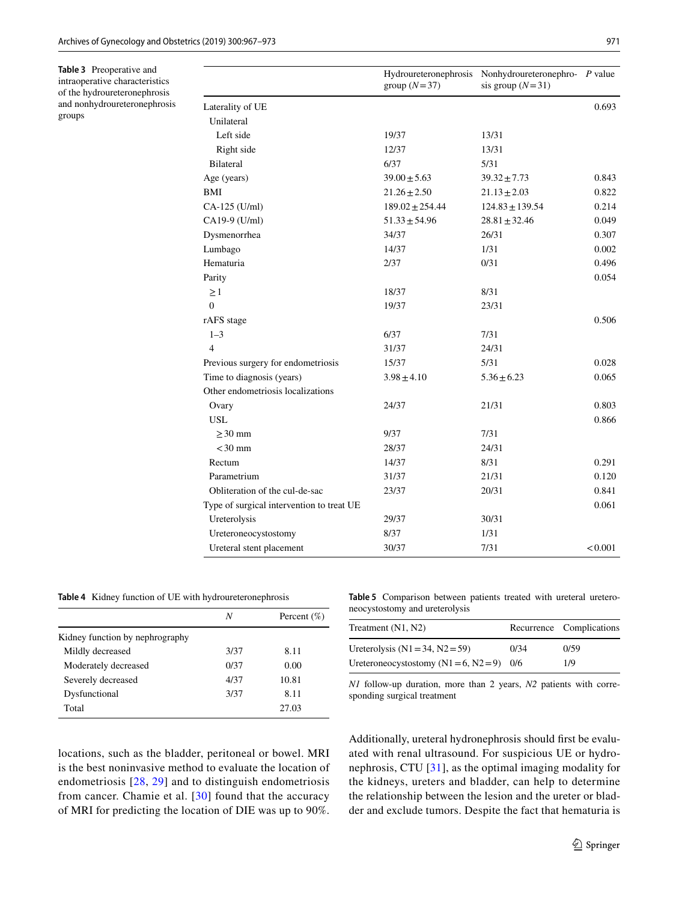<span id="page-4-0"></span>**Table 3** Preoperative and intraoperative characteristics of the hydroureteronephrosis and nonhydroureteronephrosis groups

|                                           | Hydroureteronephrosis<br>group $(N=37)$ | Nonhydroureteronephro- P value<br>sis group $(N=31)$ |         |
|-------------------------------------------|-----------------------------------------|------------------------------------------------------|---------|
| Laterality of UE                          |                                         |                                                      | 0.693   |
| Unilateral                                |                                         |                                                      |         |
| Left side                                 | 19/37                                   | 13/31                                                |         |
| Right side                                | 12/37                                   | 13/31                                                |         |
| Bilateral                                 | 6/37                                    | 5/31                                                 |         |
| Age (years)                               | $39.00 \pm 5.63$                        | $39.32 \pm 7.73$                                     | 0.843   |
| <b>BMI</b>                                | $21.26 \pm 2.50$                        | $21.13 \pm 2.03$                                     | 0.822   |
| $CA-125$ (U/ml)                           | $189.02 \pm 254.44$                     | $124.83 \pm 139.54$                                  | 0.214   |
| CA19-9 (U/ml)                             | $51.33 \pm 54.96$                       | $28.81 \pm 32.46$                                    | 0.049   |
| Dysmenorrhea                              | 34/37                                   | 26/31                                                | 0.307   |
| Lumbago                                   | 14/37                                   | 1/31                                                 | 0.002   |
| Hematuria                                 | 2/37                                    | 0/31                                                 | 0.496   |
| Parity                                    |                                         |                                                      | 0.054   |
| $\geq$ 1                                  | 18/37                                   | 8/31                                                 |         |
| $\overline{0}$                            | 19/37                                   | 23/31                                                |         |
| rAFS stage                                |                                         |                                                      | 0.506   |
| $1 - 3$                                   | 6/37                                    | 7/31                                                 |         |
| $\overline{4}$                            | 31/37                                   | 24/31                                                |         |
| Previous surgery for endometriosis        | 15/37                                   | 5/31                                                 | 0.028   |
| Time to diagnosis (years)                 | $3.98 \pm 4.10$                         | $5.36 \pm 6.23$                                      | 0.065   |
| Other endometriosis localizations         |                                         |                                                      |         |
| Ovary                                     | 24/37                                   | 21/31                                                | 0.803   |
| <b>USL</b>                                |                                         |                                                      | 0.866   |
| $\geq$ 30 mm                              | 9/37                                    | 7/31                                                 |         |
| $<$ 30 mm                                 | 28/37                                   | 24/31                                                |         |
| Rectum                                    | 14/37                                   | 8/31                                                 | 0.291   |
| Parametrium                               | 31/37                                   | 21/31                                                | 0.120   |
| Obliteration of the cul-de-sac            | 23/37                                   | 20/31                                                | 0.841   |
| Type of surgical intervention to treat UE |                                         |                                                      | 0.061   |
| Ureterolysis                              | 29/37                                   | 30/31                                                |         |
| Ureteroneocystostomy                      | 8/37                                    | 1/31                                                 |         |
| Ureteral stent placement                  | 30/37                                   | 7/31                                                 | < 0.001 |

<span id="page-4-1"></span>**Table 4** Kidney function of UE with hydroureteronephrosis

|                                 | N    | Percent $(\%)$ |
|---------------------------------|------|----------------|
| Kidney function by nephrography |      |                |
| Mildly decreased                | 3/37 | 8.11           |
| Moderately decreased            | 0/37 | 0.00           |
| Severely decreased              | 4/37 | 10.81          |
| Dysfunctional                   | 3/37 | 8.11           |
| Total                           |      | 27.03          |

<span id="page-4-2"></span>**Table 5** Comparison between patients treated with ureteral ureteroneocystostomy and ureterolysis

| Treatment (N1, N2)                          |      | Recurrence Complications |
|---------------------------------------------|------|--------------------------|
| Ureterolysis $(N1 = 34, N2 = 59)$           | 0/34 | 0/59                     |
| Ureteroneocystostomy $(N1 = 6, N2 = 9)$ 0/6 |      | 1/9                      |

*N1* follow-up duration, more than 2 years, *N2* patients with corresponding surgical treatment

locations, such as the bladder, peritoneal or bowel. MRI is the best noninvasive method to evaluate the location of endometriosis [[28,](#page-6-20) [29](#page-6-21)] and to distinguish endometriosis from cancer. Chamie et al. [[30](#page-6-22)] found that the accuracy of MRI for predicting the location of DIE was up to 90%. Additionally, ureteral hydronephrosis should frst be evaluated with renal ultrasound. For suspicious UE or hydronephrosis, CTU [\[31\]](#page-6-23), as the optimal imaging modality for the kidneys, ureters and bladder, can help to determine the relationship between the lesion and the ureter or bladder and exclude tumors. Despite the fact that hematuria is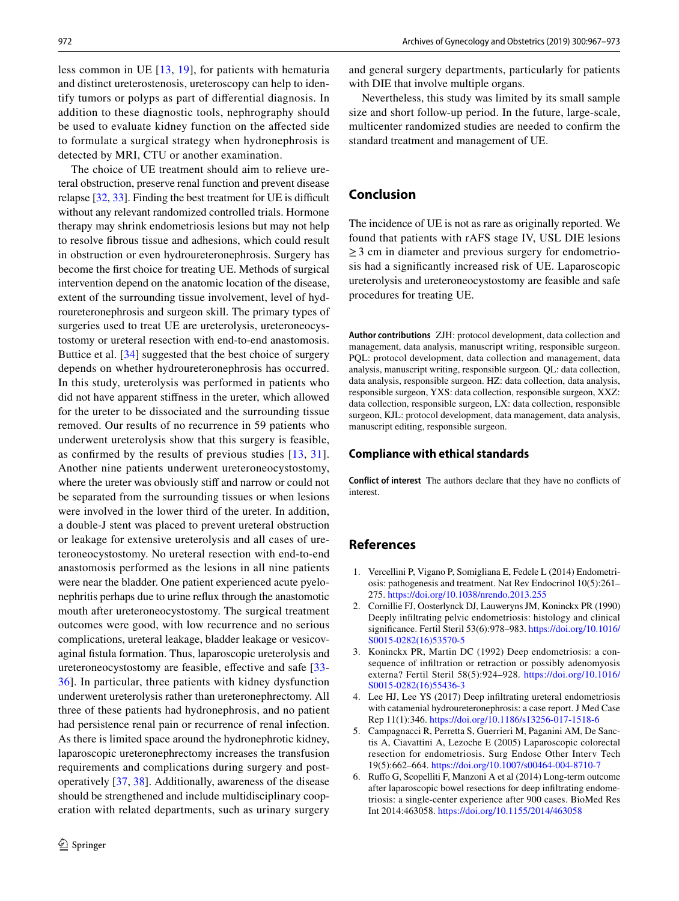less common in UE [[13](#page-6-4), [19](#page-6-10)], for patients with hematuria and distinct ureterostenosis, ureteroscopy can help to identify tumors or polyps as part of diferential diagnosis. In addition to these diagnostic tools, nephrography should be used to evaluate kidney function on the afected side to formulate a surgical strategy when hydronephrosis is detected by MRI, CTU or another examination.

The choice of UE treatment should aim to relieve ureteral obstruction, preserve renal function and prevent disease relapse  $[32, 33]$  $[32, 33]$  $[32, 33]$ . Finding the best treatment for UE is difficult without any relevant randomized controlled trials. Hormone therapy may shrink endometriosis lesions but may not help to resolve fbrous tissue and adhesions, which could result in obstruction or even hydroureteronephrosis. Surgery has become the frst choice for treating UE. Methods of surgical intervention depend on the anatomic location of the disease, extent of the surrounding tissue involvement, level of hydroureteronephrosis and surgeon skill. The primary types of surgeries used to treat UE are ureterolysis, ureteroneocystostomy or ureteral resection with end-to-end anastomosis. Buttice et al. [[34\]](#page-6-26) suggested that the best choice of surgery depends on whether hydroureteronephrosis has occurred. In this study, ureterolysis was performed in patients who did not have apparent stifness in the ureter, which allowed for the ureter to be dissociated and the surrounding tissue removed. Our results of no recurrence in 59 patients who underwent ureterolysis show that this surgery is feasible, as confrmed by the results of previous studies [\[13,](#page-6-4) [31](#page-6-23)]. Another nine patients underwent ureteroneocystostomy, where the ureter was obviously stiff and narrow or could not be separated from the surrounding tissues or when lesions were involved in the lower third of the ureter. In addition, a double-J stent was placed to prevent ureteral obstruction or leakage for extensive ureterolysis and all cases of ureteroneocystostomy. No ureteral resection with end-to-end anastomosis performed as the lesions in all nine patients were near the bladder. One patient experienced acute pyelonephritis perhaps due to urine refux through the anastomotic mouth after ureteroneocystostomy. The surgical treatment outcomes were good, with low recurrence and no serious complications, ureteral leakage, bladder leakage or vesicovaginal fstula formation. Thus, laparoscopic ureterolysis and ureteroneocystostomy are feasible, efective and safe [[33-](#page-6-25) [36](#page-6-27)]. In particular, three patients with kidney dysfunction underwent ureterolysis rather than ureteronephrectomy. All three of these patients had hydronephrosis, and no patient had persistence renal pain or recurrence of renal infection. As there is limited space around the hydronephrotic kidney, laparoscopic ureteronephrectomy increases the transfusion requirements and complications during surgery and postoperatively [[37](#page-6-28), [38](#page-6-29)]. Additionally, awareness of the disease should be strengthened and include multidisciplinary cooperation with related departments, such as urinary surgery and general surgery departments, particularly for patients with DIE that involve multiple organs.

Nevertheless, this study was limited by its small sample size and short follow-up period. In the future, large-scale, multicenter randomized studies are needed to confrm the standard treatment and management of UE.

## **Conclusion**

The incidence of UE is not as rare as originally reported. We found that patients with rAFS stage IV, USL DIE lesions  $\geq$  3 cm in diameter and previous surgery for endometriosis had a signifcantly increased risk of UE. Laparoscopic ureterolysis and ureteroneocystostomy are feasible and safe procedures for treating UE.

**Author contributions** ZJH: protocol development, data collection and management, data analysis, manuscript writing, responsible surgeon. PQL: protocol development, data collection and management, data analysis, manuscript writing, responsible surgeon. QL: data collection, data analysis, responsible surgeon. HZ: data collection, data analysis, responsible surgeon, YXS: data collection, responsible surgeon, XXZ: data collection, responsible surgeon, LX: data collection, responsible surgeon, KJL: protocol development, data management, data analysis, manuscript editing, responsible surgeon.

#### **Compliance with ethical standards**

**Conflict of interest** The authors declare that they have no conficts of interest.

## **References**

- <span id="page-5-0"></span>1. Vercellini P, Vigano P, Somigliana E, Fedele L (2014) Endometriosis: pathogenesis and treatment. Nat Rev Endocrinol 10(5):261– 275.<https://doi.org/10.1038/nrendo.2013.255>
- <span id="page-5-1"></span>2. Cornillie FJ, Oosterlynck DJ, Lauweryns JM, Koninckx PR (1990) Deeply infltrating pelvic endometriosis: histology and clinical signifcance. Fertil Steril 53(6):978–983. [https://doi.org/10.1016/](https://doi.org/10.1016/S0015-0282(16)53570-5) [S0015-0282\(16\)53570-5](https://doi.org/10.1016/S0015-0282(16)53570-5)
- <span id="page-5-2"></span>3. Koninckx PR, Martin DC (1992) Deep endometriosis: a consequence of infltration or retraction or possibly adenomyosis externa? Fertil Steril 58(5):924–928. [https://doi.org/10.1016/](https://doi.org/10.1016/S0015-0282(16)55436-3) [S0015-0282\(16\)55436-3](https://doi.org/10.1016/S0015-0282(16)55436-3)
- 4. Lee HJ, Lee YS (2017) Deep infltrating ureteral endometriosis with catamenial hydroureteronephrosis: a case report. J Med Case Rep 11(1):346.<https://doi.org/10.1186/s13256-017-1518-6>
- 5. Campagnacci R, Perretta S, Guerrieri M, Paganini AM, De Sanctis A, Ciavattini A, Lezoche E (2005) Laparoscopic colorectal resection for endometriosis. Surg Endosc Other Interv Tech 19(5):662–664.<https://doi.org/10.1007/s00464-004-8710-7>
- <span id="page-5-3"></span>6. Rufo G, Scopelliti F, Manzoni A et al (2014) Long-term outcome after laparoscopic bowel resections for deep infltrating endometriosis: a single-center experience after 900 cases. BioMed Res Int 2014:463058.<https://doi.org/10.1155/2014/463058>